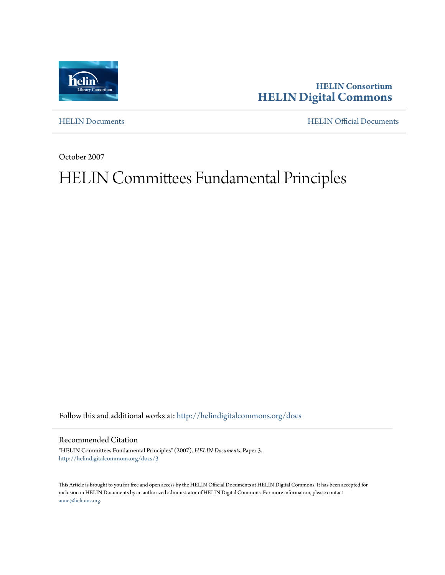

**HELIN Consortium [HELIN Digital Commons](http://helindigitalcommons.org?utm_source=helindigitalcommons.org%2Fdocs%2F3&utm_medium=PDF&utm_campaign=PDFCoverPages)**

[HELIN Documents](http://helindigitalcommons.org/docs?utm_source=helindigitalcommons.org%2Fdocs%2F3&utm_medium=PDF&utm_campaign=PDFCoverPages) [HELIN Official Documents](http://helindigitalcommons.org/documents?utm_source=helindigitalcommons.org%2Fdocs%2F3&utm_medium=PDF&utm_campaign=PDFCoverPages)

October 2007

# HELIN Committees Fundamental Principles

Follow this and additional works at: [http://helindigitalcommons.org/docs](http://helindigitalcommons.org/docs?utm_source=helindigitalcommons.org%2Fdocs%2F3&utm_medium=PDF&utm_campaign=PDFCoverPages)

#### Recommended Citation

"HELIN Committees Fundamental Principles" (2007). *HELIN Documents.* Paper 3. [http://helindigitalcommons.org/docs/3](http://helindigitalcommons.org/docs/3?utm_source=helindigitalcommons.org%2Fdocs%2F3&utm_medium=PDF&utm_campaign=PDFCoverPages)

This Article is brought to you for free and open access by the HELIN Official Documents at HELIN Digital Commons. It has been accepted for inclusion in HELIN Documents by an authorized administrator of HELIN Digital Commons. For more information, please contact [anne@helininc.org.](mailto:anne@helininc.org)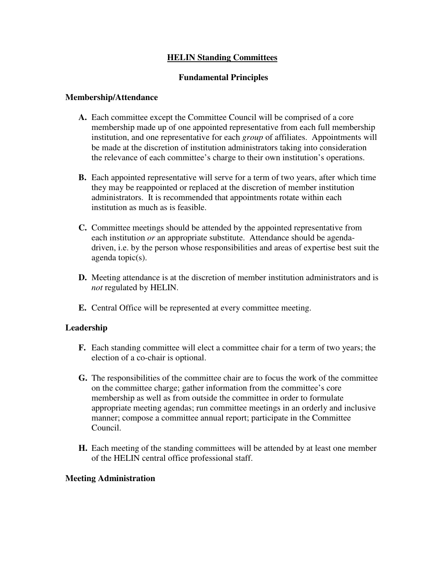## **HELIN Standing Committees**

## **Fundamental Principles**

### **Membership/Attendance**

- **A.** Each committee except the Committee Council will be comprised of a core membership made up of one appointed representative from each full membership institution, and one representative for each *group* of affiliates. Appointments will be made at the discretion of institution administrators taking into consideration the relevance of each committee's charge to their own institution's operations.
- **B.** Each appointed representative will serve for a term of two years, after which time they may be reappointed or replaced at the discretion of member institution administrators. It is recommended that appointments rotate within each institution as much as is feasible.
- **C.** Committee meetings should be attended by the appointed representative from each institution *or* an appropriate substitute. Attendance should be agendadriven, i.e. by the person whose responsibilities and areas of expertise best suit the agenda topic(s).
- **D.** Meeting attendance is at the discretion of member institution administrators and is *not* regulated by HELIN.
- **E.** Central Office will be represented at every committee meeting.

## **Leadership**

- **F.** Each standing committee will elect a committee chair for a term of two years; the election of a co-chair is optional.
- **G.** The responsibilities of the committee chair are to focus the work of the committee on the committee charge; gather information from the committee's core membership as well as from outside the committee in order to formulate appropriate meeting agendas; run committee meetings in an orderly and inclusive manner; compose a committee annual report; participate in the Committee Council.
- **H.** Each meeting of the standing committees will be attended by at least one member of the HELIN central office professional staff.

### **Meeting Administration**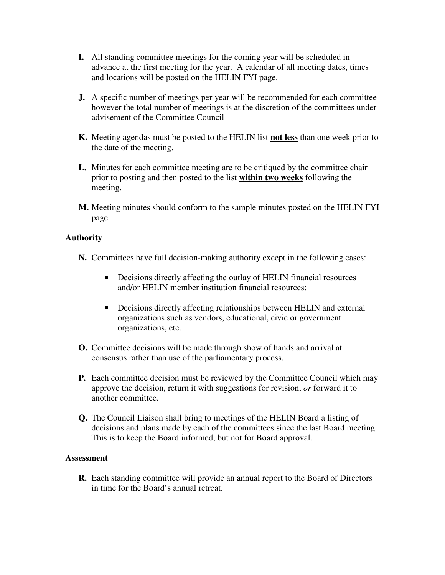- **I.** All standing committee meetings for the coming year will be scheduled in advance at the first meeting for the year. A calendar of all meeting dates, times and locations will be posted on the HELIN FYI page.
- **J.** A specific number of meetings per year will be recommended for each committee however the total number of meetings is at the discretion of the committees under advisement of the Committee Council
- **K.** Meeting agendas must be posted to the HELIN list **not less** than one week prior to the date of the meeting.
- **L.** Minutes for each committee meeting are to be critiqued by the committee chair prior to posting and then posted to the list **within two weeks** following the meeting.
- **M.** Meeting minutes should conform to the sample minutes posted on the HELIN FYI page.

## **Authority**

- **N.** Committees have full decision-making authority except in the following cases:
	- Decisions directly affecting the outlay of HELIN financial resources and/or HELIN member institution financial resources;
	- Decisions directly affecting relationships between HELIN and external organizations such as vendors, educational, civic or government organizations, etc.
- **O.** Committee decisions will be made through show of hands and arrival at consensus rather than use of the parliamentary process.
- **P.** Each committee decision must be reviewed by the Committee Council which may approve the decision, return it with suggestions for revision, *or* forward it to another committee.
- **Q.** The Council Liaison shall bring to meetings of the HELIN Board a listing of decisions and plans made by each of the committees since the last Board meeting. This is to keep the Board informed, but not for Board approval.

### **Assessment**

**R.** Each standing committee will provide an annual report to the Board of Directors in time for the Board's annual retreat.